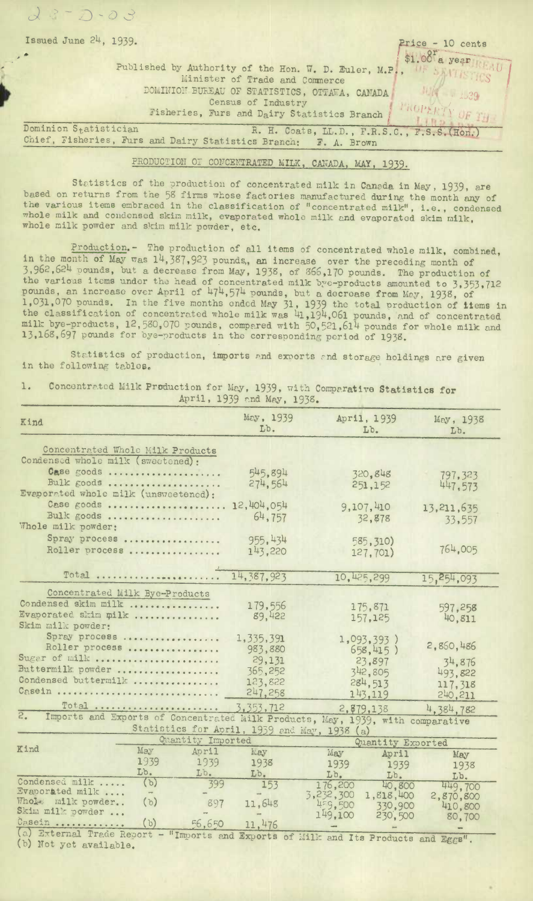$23 - 0.03$ 

## PRODUCTION OF CONCENTRATED MILK, CANADA, MAY, 1939.

Statistics of the production of concentrated milk in Canada in May, 1939, are based on returns from the 58 firms whose factories manufactured during the month any of the various items embraced in the classification of "concentrated milk", **i.e., condensed**  whole milk and condensed skim milk, evaporated whole milk and evaporated skim milk, whole milk powder and skim milk powder, etc.

**Production.** - The production of all items of concentrated whole milk, combined,<br>in the month of May was 14,387,923 pounds, an increase over the preceding month of<br>3,962,624 pounds, but a decrease from May, 1938, of 366, the various items under the head of concentrated milk bye-products amounted to 3,353,712<br>pounds, an increase over April of 474,574 pounds, but a decrease from May, 1938, of<br>1,031,070 pounds. In the five months ended May 31 the classification of concentrated whole milk was 41,194,061 pounds, and of concentrated mill: bye-products, 12,580,070 pounds, compared with 50,521 ,61)4 pounds for whole milk and 13,168 ,697 pounds for bye-products in the corresponding period of 1938.

Statistics of production, imports and exports and storage holdings are given in the following tables.

## Concentrated Milk Production for May, 1939, with Comparative **Statistics for**  1. April, 1939 and May, 1938.

| Kind                                                                                                                                 | May, 1939<br>Lb.               | April, 1939<br>Lb.                                                        | May, 1938<br>Lb.                        |
|--------------------------------------------------------------------------------------------------------------------------------------|--------------------------------|---------------------------------------------------------------------------|-----------------------------------------|
| Concentrated Whole Milk Products                                                                                                     |                                |                                                                           |                                         |
| Condensed whole milk (sweetened):<br>Case goods<br>Bulk goods<br>Eveporated whole milk (unsweetened):                                | 545.894<br>274,564             | 320.848<br>251,152                                                        | 797, 323<br>447.573                     |
| Case goods  12,404,054<br>Bulk goods<br>Whole milk powder:                                                                           | 64,757                         | 9,107,410<br>32,878                                                       | 13, 211, 635<br>33,557                  |
| Spray process<br>Roller process                                                                                                      | 955, 434<br>143,220            | 585,310)<br>127,701)                                                      | 764,005                                 |
|                                                                                                                                      |                                | 10, 425, 299                                                              | 15,254,093                              |
| Concentrated Milk Bye-Products<br>Condensed skim milk<br>Evaporated skim milk<br>Skim milk powder:                                   | 179,556<br>89,422              | 175,871<br>157.125                                                        | 597,258<br>40,811                       |
| Spray process<br>Roller process<br>Suger of milk                                                                                     | 1,335,391<br>983,880<br>29,131 | 1,093,393)<br>658, 415)<br>23,897                                         | 2,860,486                               |
| Buttermilk powder<br>Condensed buttermilk<br>Casein                                                                                  | 365,252<br>123,822<br>247.258  | 342,805<br>284, 513<br>143.119                                            | 34.876<br>493.822<br>117,318<br>240,211 |
|                                                                                                                                      |                                | 2,879,138                                                                 | 4,384,782                               |
| 2.<br>Imports and Exports of Concentrated Milk Products, May, 1939, with comparative<br>Statistics for April, 1939 and May, 1938 (a) |                                |                                                                           |                                         |
| Quantity Imported                                                                                                                    |                                | Quantity Exported                                                         |                                         |
| Kind<br>May<br>April<br>1939<br>1939<br>Lb.<br>Lb.                                                                                   | May<br>1938<br>Lb.             | May<br>April<br>1939<br>1939<br>Lb.                                       | May<br>1938                             |
| Condensed milk<br>(b)<br>399<br>Evaporated milk<br>Whole milk powder<br>(b)<br>897<br>Skim milk powder                               | 153<br>11,648                  | Lb.<br>176,200<br>40,800<br>3, 232, 300 1, 818, 400<br>459,500<br>330,900 | Lb.<br>449,700<br>2,870,800<br>410,800  |
| Casein<br>(b)<br>56,650<br>(a) External Trade Benort - "Irmorts and Franche is use                                                   | 11,476                         | 149,100<br>230,500                                                        | 80,700                                  |

(b) Not yet available.<br>(b) Not yet available.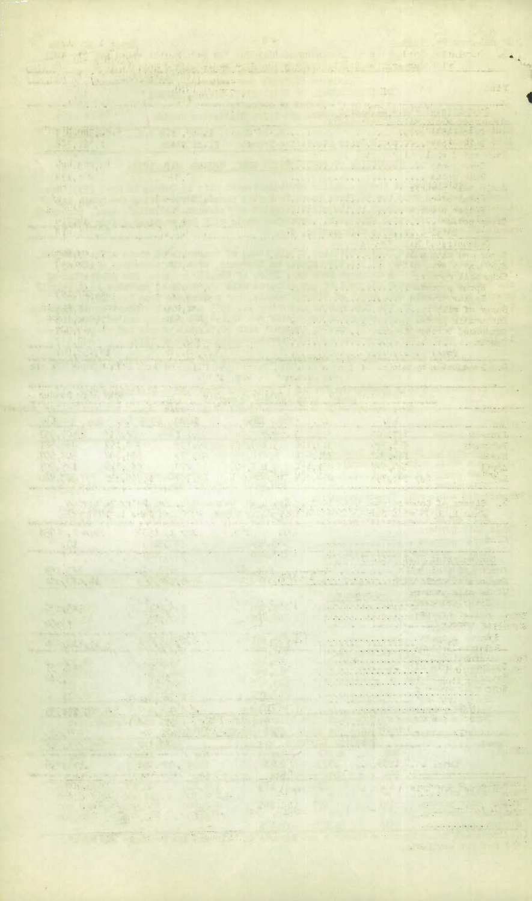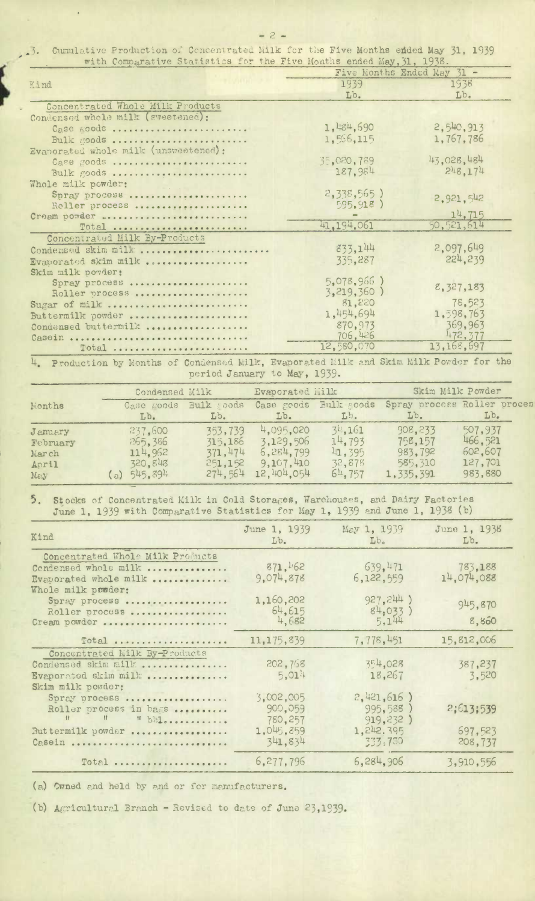| <b>START</b> | $-$ |  |
|--------------|-----|--|
|              |     |  |

|  | 3. Cumulative Production of Cencentrated Milk for the Five Months ended May 31, 1939 |  |  |  |
|--|--------------------------------------------------------------------------------------|--|--|--|
|  | with Comparative Statistics for the Five Months ended May, 31, 1938.                 |  |  |  |

|                                      |               | Five Months Ended May 31 -  |  |  |  |
|--------------------------------------|---------------|-----------------------------|--|--|--|
| Kind                                 | 1939          | 1938                        |  |  |  |
|                                      | Lo.           | Lb.                         |  |  |  |
| Concentrated Whole Milk Products     |               |                             |  |  |  |
| Condersed whole milk (sweetened):    |               |                             |  |  |  |
| Case goods                           | 1,484,690     | 2,540,913                   |  |  |  |
| Bulk goods                           | 1,566,115     | 1,767,786                   |  |  |  |
| Evanorated whole milk (unsweetened): |               |                             |  |  |  |
| Case goods                           | 35,020,789    | 43.028,484                  |  |  |  |
| Bulk goods                           | 187,984       | 248.174                     |  |  |  |
| Whole milk powder:                   |               |                             |  |  |  |
| Spray process                        | $2,338,565$ ) | 2,921,542                   |  |  |  |
| Roller process                       | 595,918)      |                             |  |  |  |
| Creem powder                         |               | $\frac{14,715}{50,521,614}$ |  |  |  |
| Total                                | 41,194,061    |                             |  |  |  |
| Concentrated Milk By-Products        |               |                             |  |  |  |
| Condensed skim milk                  | 833.144       | 2,097,649                   |  |  |  |
| Evaporated skim milk                 | 335,287       | 224.239                     |  |  |  |
| Skim milk povder:                    |               |                             |  |  |  |
| Spray process                        | 5,078,966     |                             |  |  |  |
| Roller process                       | $3,219,360$ ) | 8,327,183                   |  |  |  |
| Sugar of milk                        | 81,220        | 78,523                      |  |  |  |
| Buttermilk powder                    | 1,454.694     | 1,598,763                   |  |  |  |
| Condensed buttermilk                 | 870.973       | 369,963                     |  |  |  |
| Casein                               | 706,426       | 472,377                     |  |  |  |
| Total                                | 12,580,070    | 13,168,697                  |  |  |  |

4. Production by Months of Condensed Milk, Evaporated Milk and Skim Milk Powder for the period January to May, 1939.

|                                              | Condensed Milk                                             |                                           | Evaporated Milk                                                        |                                                | Skim Milk Powder                                        |                                                     |  |
|----------------------------------------------|------------------------------------------------------------|-------------------------------------------|------------------------------------------------------------------------|------------------------------------------------|---------------------------------------------------------|-----------------------------------------------------|--|
| Months                                       | Lb.                                                        | Case goods Bulk goods<br>Lb.              | Lb.                                                                    | Case goods Bulk goods<br>Lb.                   | Spray process Roller proces<br>Lb.                      | $Lb$ .                                              |  |
| January<br>February<br>March<br>April<br>May | 237.600<br>265,386<br>114.962<br>320.843<br>$(a)$ 545, 894 | 353,739<br>315.186<br>371, 474<br>251,152 | 4.095.020<br>3,129,506<br>6,284,799<br>9,107,410<br>274.564 12.404.054 | 34.161<br>14,793<br>41.395<br>32.878<br>64.757 | 908.233<br>758,157<br>983.792<br>585,310<br>1, 335, 391 | 507,937<br>466.521<br>602,607<br>127,701<br>983,880 |  |

5. Stocks of Concentrated Milk in Cold Storages, Warehouses, and Dairy Factories<br>June 1, 1939 with Comparative Statistics for May 1, 1939 and June 1, 1938 (b)

| Kind                                                                                              | June 1, 1939<br>Lb.                           | May 1, 1939<br>$Lb_{\circ}$                      | June 1, 1938<br>Lb.   |
|---------------------------------------------------------------------------------------------------|-----------------------------------------------|--------------------------------------------------|-----------------------|
| Concentrated Whole Milk Products<br>Condensed whole milk<br>Evaporated whole milk                 | 871.462<br>9,074,878                          | 639.471<br>6,122,559                             | 783,188<br>14,074,088 |
| Whole milk powder:<br>Spray process<br>Roller process<br>Cream powder                             | 1,160,202<br>64, 615<br>4,682                 | 927.244<br>84,033<br>5.144                       | 945,870<br>8,860      |
| Total                                                                                             | 11, 175, 839                                  | 7,778,451                                        | 15,812,006            |
| Concentrated Milk By-Products<br>Condensed skim milk<br>Evaporated skim milk<br>Skim milk powder: | 202,768<br>5,014                              | 354.028<br>18,267                                | 387,237<br>3,520      |
| Spray process<br>Roller process in bags<br><b>11 11 11 bblessessessesses</b>                      | 3,002,005<br>900.059<br>780, 257<br>1,045,859 | $2,421,616$ )<br>995,588<br>919,232<br>1,242.395 | 2;613;539<br>697,523  |
| But termilk powder<br>Casein                                                                      | 341.834                                       | 333,700                                          | 208,737               |
| Total                                                                                             | 6, 277, 796                                   | 6,284,906                                        | 3,910,556             |

(a) Owned and held by and or for manufacturers.

(b) Agricultural Branch - Revised to date of June 23,1939.